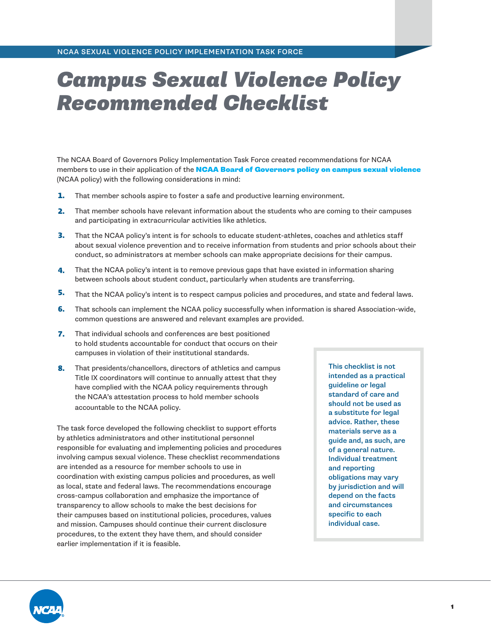# *Campus Sexual Violence Policy Recommended Checklist*

The NCAA Board of Governors Policy Implementation Task Force created recommendations for NCAA members to use in their application of the **[NCAA Board of Governors policy on campus sexual violence](https://www.ncaa.org/sport-science-institute/topics/ncaa-board-governors-policy-campus-sexual-violence)** (NCAA policy) with the following considerations in mind:

- That member schools aspire to foster a safe and productive learning environment. **1.**
- That member schools have relevant information about the students who are coming to their campuses and participating in extracurricular activities like athletics. **2.**
- That the NCAA policy's intent is for schools to educate student-athletes, coaches and athletics staff about sexual violence prevention and to receive information from students and prior schools about their conduct, so administrators at member schools can make appropriate decisions for their campus. **3.**
- That the NCAA policy's intent is to remove previous gaps that have existed in information sharing between schools about student conduct, particularly when students are transferring. **4.**
- That the NCAA policy's intent is to respect campus policies and procedures, and state and federal laws. **5.**
- That schools can implement the NCAA policy successfully when information is shared Association-wide, **6.** common questions are answered and relevant examples are provided.
- **7.** That individual schools and conferences are best positioned to hold students accountable for conduct that occurs on their campuses in violation of their institutional standards.
- That presidents/chancellors, directors of athletics and campus **8.** This checklist is not Title IX coordinators will continue to annually attest that they have complied with the NCAA policy requirements through the NCAA's attestation process to hold member schools accountable to the NCAA policy.

The task force developed the following checklist to support efforts by athletics administrators and other institutional personnel responsible for evaluating and implementing policies and procedures involving campus sexual violence. These checklist recommendations are intended as a resource for member schools to use in coordination with existing campus policies and procedures, as well as local, state and federal laws. The recommendations encourage cross-campus collaboration and emphasize the importance of transparency to allow schools to make the best decisions for their campuses based on institutional policies, procedures, values and mission. Campuses should continue their current disclosure procedures, to the extent they have them, and should consider earlier implementation if it is feasible.

intended as a practical guideline or legal standard of care and should not be used as a substitute for legal advice. Rather, these materials serve as a guide and, as such, are of a general nature. Individual treatment and reporting obligations may vary by jurisdiction and will depend on the facts and circumstances specific to each individual case.

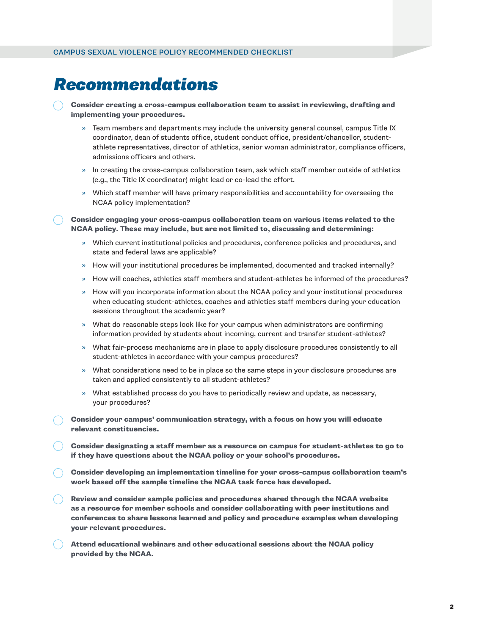### *Recommendations*

Consider creating a cross-campus collaboration team to assist in reviewing, drafting and implementing your procedures.

- » Team members and departments may include the university general counsel, campus Title IX coordinator, dean of students office, student conduct office, president/chancellor, studentathlete representatives, director of athletics, senior woman administrator, compliance officers, admissions officers and others.
- » In creating the cross-campus collaboration team, ask which staff member outside of athletics (e.g., the Title IX coordinator) might lead or co-lead the effort.
- » Which staff member will have primary responsibilities and accountability for overseeing the NCAA policy implementation?

Consider engaging your cross-campus collaboration team on various items related to the NCAA policy. These may include, but are not limited to, discussing and determining:

- » Which current institutional policies and procedures, conference policies and procedures, and state and federal laws are applicable?
- » How will your institutional procedures be implemented, documented and tracked internally?
- » How will coaches, athletics staff members and student-athletes be informed of the procedures?
- » How will you incorporate information about the NCAA policy and your institutional procedures when educating student-athletes, coaches and athletics staff members during your education sessions throughout the academic year?
- » What do reasonable steps look like for your campus when administrators are confirming information provided by students about incoming, current and transfer student-athletes?
- » What fair-process mechanisms are in place to apply disclosure procedures consistently to all student-athletes in accordance with your campus procedures?
- » What considerations need to be in place so the same steps in your disclosure procedures are taken and applied consistently to all student-athletes?
- » What established process do you have to periodically review and update, as necessary, your procedures?
- Consider your campus' communication strategy, with a focus on how you will educate relevant constituencies.
- Consider designating a staff member as a resource on campus for student-athletes to go to if they have questions about the NCAA policy or your school's procedures.
- Consider developing an implementation timeline for your cross-campus collaboration team's work based off the sample timeline the NCAA task force has developed.
- Review and consider sample policies and procedures shared through the NCAA website as a resource for member schools and consider collaborating with peer institutions and conferences to share lessons learned and policy and procedure examples when developing your relevant procedures.
- Attend educational webinars and other educational sessions about the NCAA policy provided by the NCAA.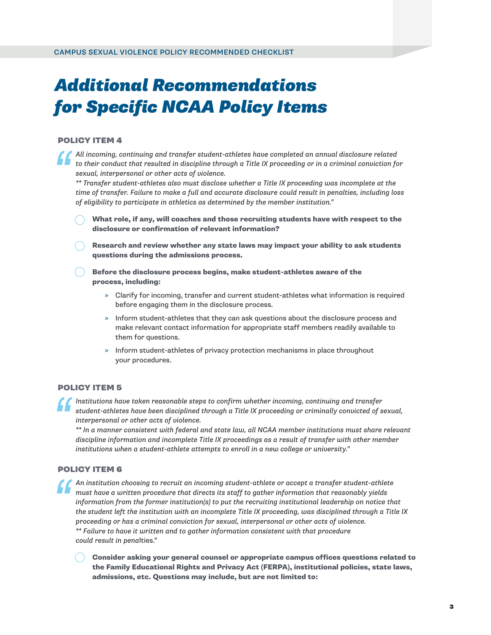## *Additional Recommendations for Specific NCAA Policy Items*

#### POLICY ITEM 4

*All incoming, continuing and transfer student-athletes have completed an annual disclosure related to their conduct that resulted in discipline through a Title IX proceeding or in a criminal conviction for sexual, interpersonal or other acts of violence. ''*

*\*\* Transfer student-athletes also must disclose whether a Title IX proceeding was incomplete at the time of transfer. Failure to make a full and accurate disclosure could result in penalties, including loss of eligibility to participate in athletics as determined by the member institution."*

- What role, if any, will coaches and those recruiting students have with respect to the disclosure or confirmation of relevant information?
- Research and review whether any state laws may impact your ability to ask students questions during the admissions process.
- Before the disclosure process begins, make student-athletes aware of the process, including:
	- » Clarify for incoming, transfer and current student-athletes what information is required before engaging them in the disclosure process.
	- » Inform student-athletes that they can ask questions about the disclosure process and make relevant contact information for appropriate staff members readily available to them for questions.
	- » Inform student-athletes of privacy protection mechanisms in place throughout your procedures.

#### POLICY ITEM 5

*Institutions have taken reasonable steps to confirm whether incoming, continuing and transfer student-athletes have been disciplined through a Title IX proceeding or criminally convicted of sexual, interpersonal or other acts of violence. ''*

*\*\* In a manner consistent with federal and state law, all NCAA member institutions must share relevant discipline information and incomplete Title IX proceedings as a result of transfer with other member institutions when a student-athlete attempts to enroll in a new college or university."*

#### POLICY ITEM 6

*''*

*An institution choosing to recruit an incoming student-athlete or accept a transfer student-athlete must have a written procedure that directs its staff to gather information that reasonably yields information from the former institution(s) to put the recruiting institutional leadership on notice that the student left the institution with an incomplete Title IX proceeding, was disciplined through a Title IX proceeding or has a criminal conviction for sexual, interpersonal or other acts of violence. \*\* Failure to have it written and to gather information consistent with that procedure could result in pena*lties."

Consider asking your general counsel or appropriate campus offices questions related to the Family Educational Rights and Privacy Act (FERPA), institutional policies, state laws, admissions, etc. Questions may include, but are not limited to: